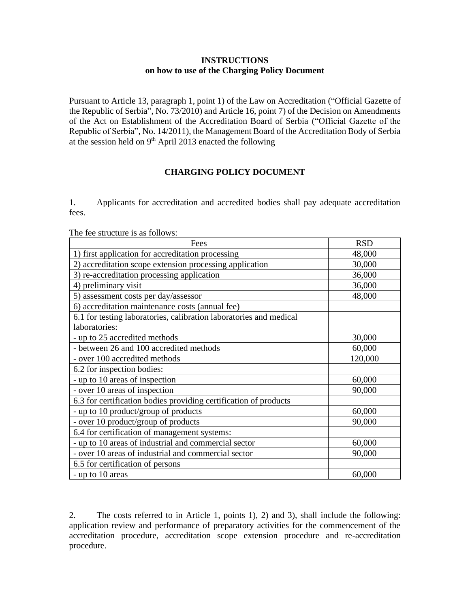## **INSTRUCTIONS on how to use of the Charging Policy Document**

Pursuant to Article 13, paragraph 1, point 1) of the Law on Accreditation ("Official Gazette of the Republic of Serbia", No. 73/2010) and Article 16, point 7) of the Decision on Amendments of the Act on Establishment of the Accreditation Board of Serbia ("Official Gazette of the Republic of Serbia", No. 14/2011), the Management Board of the Accreditation Body of Serbia at the session held on  $9<sup>th</sup>$  April 2013 enacted the following

## **CHARGING POLICY DOCUMENT**

1. Applicants for accreditation and accredited bodies shall pay adequate accreditation fees.

| Fees                                                               | <b>RSD</b> |
|--------------------------------------------------------------------|------------|
| 1) first application for accreditation processing                  | 48,000     |
| accreditation scope extension processing application<br>(2)        | 30,000     |
| 3) re-accreditation processing application                         | 36,000     |
| 4) preliminary visit                                               | 36,000     |
| 5) assessment costs per day/assessor                               | 48,000     |
| 6) accreditation maintenance costs (annual fee)                    |            |
| 6.1 for testing laboratories, calibration laboratories and medical |            |
| laboratories:                                                      |            |
| - up to 25 accredited methods                                      | 30,000     |
| - between 26 and 100 accredited methods                            | 60,000     |
| - over 100 accredited methods                                      | 120,000    |
| 6.2 for inspection bodies:                                         |            |
| - up to 10 areas of inspection                                     | 60,000     |
| - over 10 areas of inspection                                      | 90,000     |
| 6.3 for certification bodies providing certification of products   |            |
| - up to 10 product/group of products                               | 60,000     |
| - over 10 product/group of products                                | 90,000     |
| 6.4 for certification of management systems:                       |            |
| - up to 10 areas of industrial and commercial sector               | 60,000     |
| - over 10 areas of industrial and commercial sector                | 90,000     |
| 6.5 for certification of persons                                   |            |
| - up to 10 areas                                                   | 60,000     |

The fee structure is as follows:

2. The costs referred to in Article 1, points 1), 2) and 3), shall include the following: application review and performance of preparatory activities for the commencement of the accreditation procedure, accreditation scope extension procedure and re-accreditation procedure.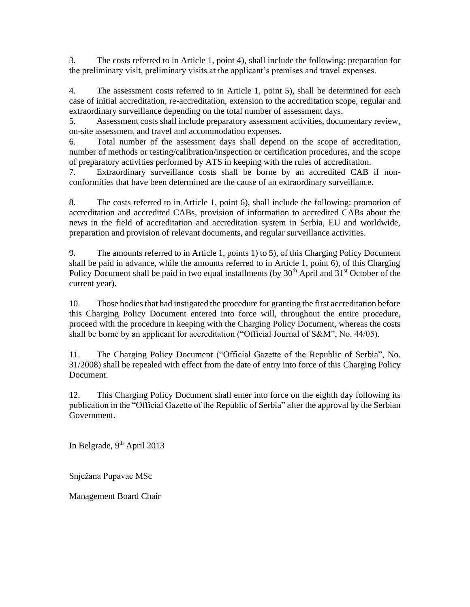3. The costs referred to in Article 1, point 4), shall include the following: preparation for the preliminary visit, preliminary visits at the applicant's premises and travel expenses.

4. The assessment costs referred to in Article 1, point 5), shall be determined for each case of initial accreditation, re-accreditation, extension to the accreditation scope, regular and extraordinary surveillance depending on the total number of assessment days.

5. Assessment costs shall include preparatory assessment activities, documentary review, on-site assessment and travel and accommodation expenses.

6. Total number of the assessment days shall depend on the scope of accreditation, number of methods or testing/calibration/inspection or certification procedures, and the scope of preparatory activities performed by ATS in keeping with the rules of accreditation.

7. Extraordinary surveillance costs shall be borne by an accredited CAB if nonconformities that have been determined are the cause of an extraordinary surveillance.

8. The costs referred to in Article 1, point 6), shall include the following: promotion of accreditation and accredited CABs, provision of information to accredited CABs about the news in the field of accreditation and accreditation system in Serbia, EU and worldwide, preparation and provision of relevant documents, and regular surveillance activities.

9. The amounts referred to in Article 1, points 1) to 5), of this Charging Policy Document shall be paid in advance, while the amounts referred to in Article 1, point 6), of this Charging Policy Document shall be paid in two equal installments (by  $30<sup>th</sup>$  April and  $31<sup>st</sup>$  October of the current year).

10. Those bodies that had instigated the procedure for granting the first accreditation before this Charging Policy Document entered into force will, throughout the entire procedure, proceed with the procedure in keeping with the Charging Policy Document, whereas the costs shall be borne by an applicant for accreditation ("Official Journal of S&M", No. 44/05).

11. The Charging Policy Document ("Official Gazette of the Republic of Serbia", No. 31/2008) shall be repealed with effect from the date of entry into force of this Charging Policy Document.

12. This Charging Policy Document shall enter into force on the eighth day following its publication in the "Official Gazette of the Republic of Serbia" after the approval by the Serbian Government.

In Belgrade,  $9<sup>th</sup>$  April 2013

Snježana Pupavac MSc

Management Board Chair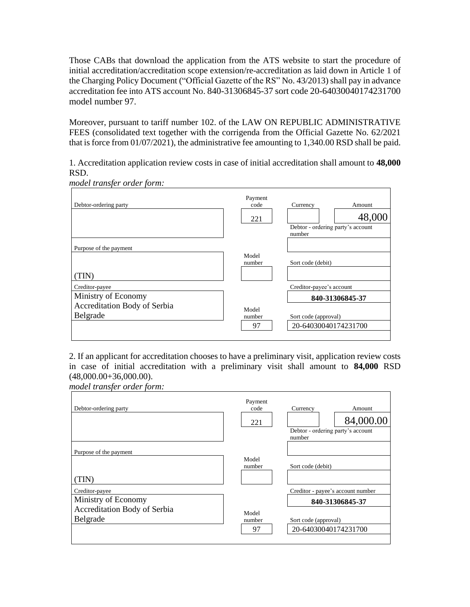Those CABs that download the application from the ATS website to start the procedure of initial accreditation/accreditation scope extension/re-accreditation as laid down in Article 1 of the Charging Policy Document ("Official Gazette of the RS" No. 43/2013) shall pay in advance accreditation fee into ATS account No. 840-31306845-37 sort code 20-64030040174231700 model number 97.

Moreover, pursuant to tariff number 102. of the LAW ON REPUBLIC ADMINISTRATIVE FEES (consolidated text together with the corrigenda from the Official Gazette No. 62/2021 that is force from 01/07/2021), the administrative fee amounting to 1,340.00 RSD shall be paid.

1. Accreditation application review costs in case of initial accreditation shall amount to **48,000** RSD.

| Debtor-ordering party                                                             | Payment<br>code<br>221 | Currency<br>Amount<br>48,000<br>Debtor - ordering party's account<br>number                 |
|-----------------------------------------------------------------------------------|------------------------|---------------------------------------------------------------------------------------------|
| Purpose of the payment<br>(TIN)                                                   | Model<br>number        | Sort code (debit)                                                                           |
| Creditor-payee<br>Ministry of Economy<br>Accreditation Body of Serbia<br>Belgrade | Model<br>number<br>97  | Creditor-payee's account<br>840-31306845-37<br>Sort code (approval)<br>20-64030040174231700 |

*model transfer order form:*

2. If an applicant for accreditation chooses to have a preliminary visit, application review costs in case of initial accreditation with a preliminary visit shall amount to **84,000** RSD (48,000.00+36,000.00).

*model transfer order form:*

| Debtor-ordering party        | Payment<br>code<br>221 | Currency<br>Amount<br>84,000.00<br>Debtor - ordering party's account<br>number |
|------------------------------|------------------------|--------------------------------------------------------------------------------|
| Purpose of the payment       |                        |                                                                                |
|                              | Model<br>number        | Sort code (debit)                                                              |
| (TIN)                        |                        |                                                                                |
| Creditor-payee               |                        | Creditor - payee's account number                                              |
| Ministry of Economy          |                        | 840-31306845-37                                                                |
| Accreditation Body of Serbia | Model                  |                                                                                |
| Belgrade                     | number                 | Sort code (approval)                                                           |
|                              | 97                     | 20-64030040174231700                                                           |
|                              |                        |                                                                                |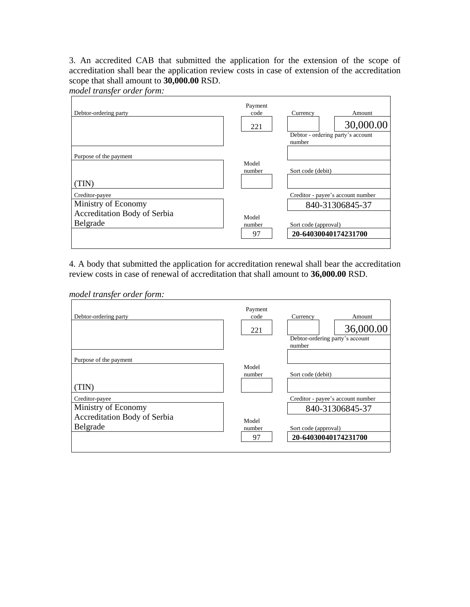3. An accredited CAB that submitted the application for the extension of the scope of accreditation shall bear the application review costs in case of extension of the accreditation scope that shall amount to **30,000.00** RSD.

*model transfer order form:*

| Debtor-ordering party        | Payment<br>code<br>221 | Currency<br>Amount<br>30,000.00<br>Debtor - ordering party's account<br>number |
|------------------------------|------------------------|--------------------------------------------------------------------------------|
| Purpose of the payment       |                        |                                                                                |
|                              | Model<br>number        | Sort code (debit)                                                              |
| TIN)                         |                        |                                                                                |
| Creditor-payee               |                        | Creditor - payee's account number                                              |
| Ministry of Economy          |                        | 840-31306845-37                                                                |
| Accreditation Body of Serbia | Model                  |                                                                                |
| Belgrade                     | number                 | Sort code (approval)                                                           |
|                              | 97                     | 20-64030040174231700                                                           |
|                              |                        |                                                                                |

4. A body that submitted the application for accreditation renewal shall bear the accreditation review costs in case of renewal of accreditation that shall amount to **36,000.00** RSD.

*model transfer order form:*

| Debtor-ordering party        | Payment<br>code<br>221 | Currency<br>Amount<br>36,000.00<br>Debtor-ordering party's account<br>number |
|------------------------------|------------------------|------------------------------------------------------------------------------|
| Purpose of the payment       |                        |                                                                              |
|                              | Model<br>number        | Sort code (debit)                                                            |
| (TIN)                        |                        |                                                                              |
| Creditor-payee               |                        | Creditor - payee's account number                                            |
| Ministry of Economy          |                        | 840-31306845-37                                                              |
| Accreditation Body of Serbia | Model                  |                                                                              |
| Belgrade                     | number                 | Sort code (approval)                                                         |
|                              | 97                     | 20-64030040174231700                                                         |
|                              |                        |                                                                              |